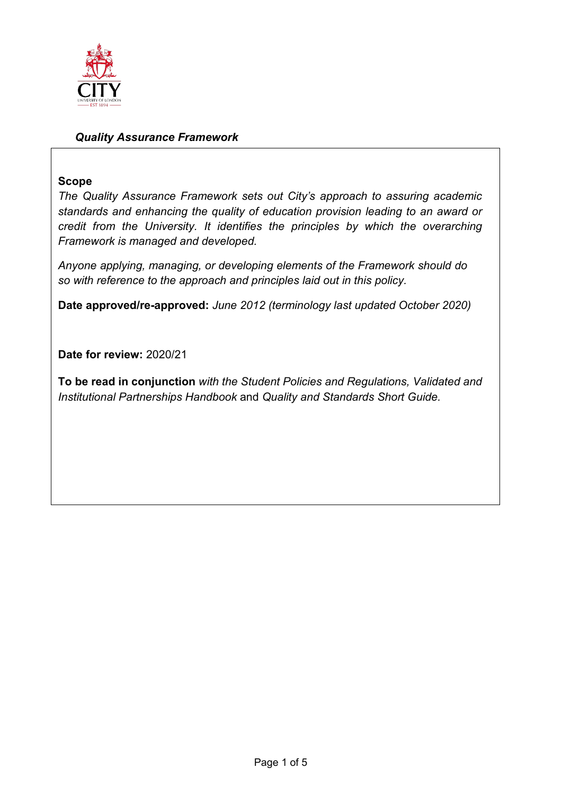

## *Quality Assurance Framework*

## **Scope**

*The Quality Assurance Framework sets out City's approach to assuring academic standards and enhancing the quality of education provision leading to an award or credit from the University. It identifies the principles by which the overarching Framework is managed and developed.*

*Anyone applying, managing, or developing elements of the Framework should do so with reference to the approach and principles laid out in this policy.*

**Date approved/re-approved:** *June 2012 (terminology last updated October 2020)*

**Date for review:** 2020/21

**To be read in conjunction** *with the Student Policies and Regulations, Validated and Institutional Partnerships Handbook* and *Quality and Standards Short Guide.*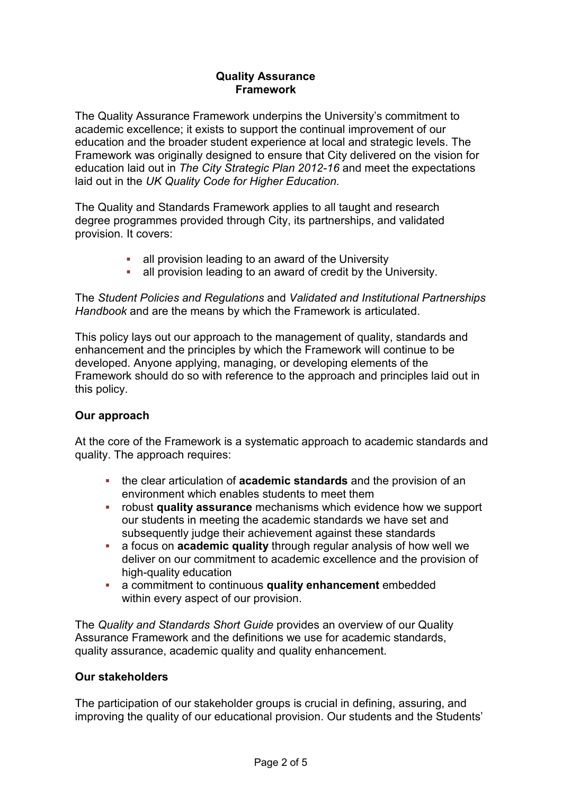## **Quality Assurance Framework**

The Quality Assurance Framework underpins the University's commitment to academic excellence; it exists to support the continual improvement of our education and the broader student experience at local and strategic levels. The Framework was originally designed to ensure that City delivered on the vision for education laid out in *The City Strategic Plan 2012-16* and meet the expectations laid out in the *UK Quality Code for Higher Education.*

The Quality and Standards Framework applies to all taught and research degree programmes provided through City, its partnerships, and validated provision. It covers:

- all provision leading to an award of the University
- all provision leading to an award of credit by the University.

The *Student Policies and Regulations* and *Validated and Institutional Partnerships Handbook* and are the means by which the Framework is articulated.

This policy lays out our approach to the management of quality, standards and enhancement and the principles by which the Framework will continue to be developed. Anyone applying, managing, or developing elements of the Framework should do so with reference to the approach and principles laid out in this policy.

## **Our approach**

At the core of the Framework is a systematic approach to academic standards and quality. The approach requires:

- the clear articulation of **academic standards** and the provision of an environment which enables students to meet them
- robust **quality assurance** mechanisms which evidence how we support our students in meeting the academic standards we have set and subsequently judge their achievement against these standards
- a focus on **academic quality** through regular analysis of how well we deliver on our commitment to academic excellence and the provision of high-quality education
- a commitment to continuous **quality enhancement** embedded within every aspect of our provision.

The *Quality and Standards Short Guide* provides an overview of our Quality Assurance Framework and the definitions we use for academic standards, quality assurance, academic quality and quality enhancement.

## **Our stakeholders**

The participation of our stakeholder groups is crucial in defining, assuring, and improving the quality of our educational provision. Our students and the Students'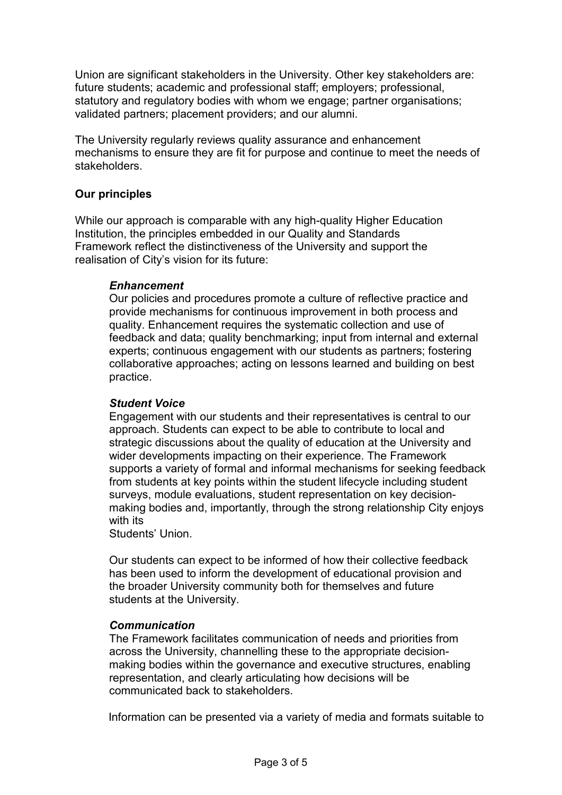Union are significant stakeholders in the University. Other key stakeholders are: future students; academic and professional staff; employers; professional, statutory and regulatory bodies with whom we engage; partner organisations; validated partners; placement providers; and our alumni.

The University regularly reviews quality assurance and enhancement mechanisms to ensure they are fit for purpose and continue to meet the needs of stakeholders.

## **Our principles**

While our approach is comparable with any high-quality Higher Education Institution, the principles embedded in our Quality and Standards Framework reflect the distinctiveness of the University and support the realisation of City's vision for its future:

## *Enhancement*

Our policies and procedures promote a culture of reflective practice and provide mechanisms for continuous improvement in both process and quality. Enhancement requires the systematic collection and use of feedback and data; quality benchmarking; input from internal and external experts; continuous engagement with our students as partners; fostering collaborative approaches; acting on lessons learned and building on best practice.

### *Student Voice*

Engagement with our students and their representatives is central to our approach. Students can expect to be able to contribute to local and strategic discussions about the quality of education at the University and wider developments impacting on their experience. The Framework supports a variety of formal and informal mechanisms for seeking feedback from students at key points within the student lifecycle including student surveys, module evaluations, student representation on key decisionmaking bodies and, importantly, through the strong relationship City enjoys with its

Students' Union.

Our students can expect to be informed of how their collective feedback has been used to inform the development of educational provision and the broader University community both for themselves and future students at the University.

#### *Communication*

The Framework facilitates communication of needs and priorities from across the University, channelling these to the appropriate decisionmaking bodies within the governance and executive structures, enabling representation, and clearly articulating how decisions will be communicated back to stakeholders.

Information can be presented via a variety of media and formats suitable to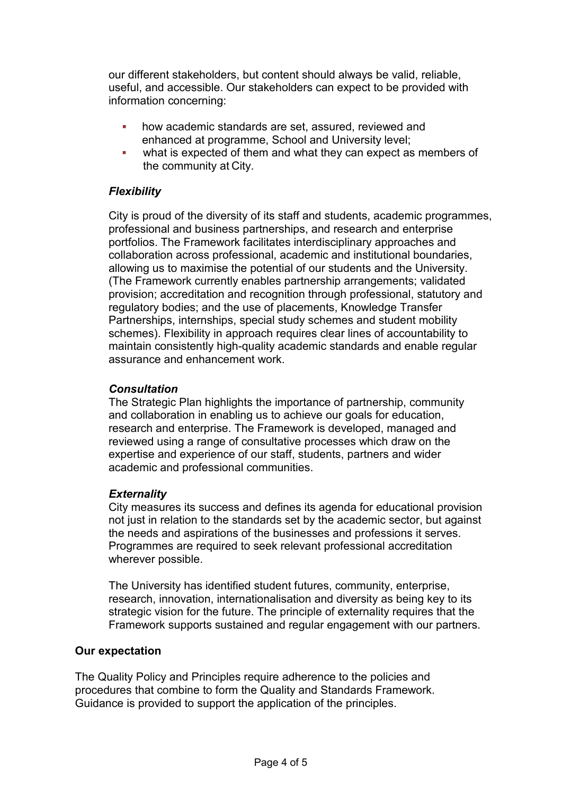our different stakeholders, but content should always be valid, reliable, useful, and accessible. Our stakeholders can expect to be provided with information concerning:

- how academic standards are set, assured, reviewed and enhanced at programme, School and University level;
- what is expected of them and what they can expect as members of the community at City.

## *Flexibility*

City is proud of the diversity of its staff and students, academic programmes, professional and business partnerships, and research and enterprise portfolios. The Framework facilitates interdisciplinary approaches and collaboration across professional, academic and institutional boundaries, allowing us to maximise the potential of our students and the University. (The Framework currently enables partnership arrangements; validated provision; accreditation and recognition through professional, statutory and regulatory bodies; and the use of placements, Knowledge Transfer Partnerships, internships, special study schemes and student mobility schemes). Flexibility in approach requires clear lines of accountability to maintain consistently high-quality academic standards and enable regular assurance and enhancement work.

## *Consultation*

The Strategic Plan highlights the importance of partnership, community and collaboration in enabling us to achieve our goals for education, research and enterprise. The Framework is developed, managed and reviewed using a range of consultative processes which draw on the expertise and experience of our staff, students, partners and wider academic and professional communities.

## *Externality*

City measures its success and defines its agenda for educational provision not just in relation to the standards set by the academic sector, but against the needs and aspirations of the businesses and professions it serves. Programmes are required to seek relevant professional accreditation wherever possible.

The University has identified student futures, community, enterprise, research, innovation, internationalisation and diversity as being key to its strategic vision for the future. The principle of externality requires that the Framework supports sustained and regular engagement with our partners.

## **Our expectation**

The Quality Policy and Principles require adherence to the policies and procedures that combine to form the Quality and Standards Framework. Guidance is provided to support the application of the principles.